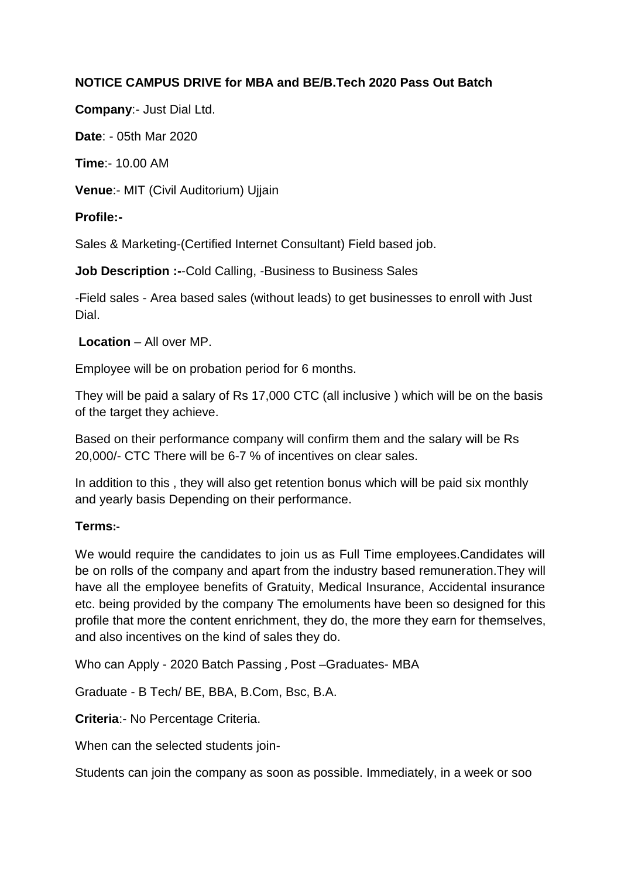# **NOTICE CAMPUS DRIVE for MBA and BE/B.Tech 2020 Pass Out Batch**

**Company**:- Just Dial Ltd.

**Date**: - 05th Mar 2020

**Time**:- 10.00 AM

**Venue**:- MIT (Civil Auditorium) Ujjain

### **Profile:-**

Sales & Marketing-(Certified Internet Consultant) Field based job.

**Job Description :-**-Cold Calling, -Business to Business Sales

-Field sales - Area based sales (without leads) to get businesses to enroll with Just Dial.

**Location** – All over MP.

Employee will be on probation period for 6 months.

They will be paid a salary of Rs 17,000 CTC (all inclusive ) which will be on the basis of the target they achieve.

Based on their performance company will confirm them and the salary will be Rs 20,000/- CTC There will be 6-7 % of incentives on clear sales.

In addition to this , they will also get retention bonus which will be paid six monthly and yearly basis Depending on their performance.

# **Terms:-**

We would require the candidates to join us as Full Time employees.Candidates will be on rolls of the company and apart from the industry based remuneration.They will have all the employee benefits of Gratuity, Medical Insurance, Accidental insurance etc. being provided by the company The emoluments have been so designed for this profile that more the content enrichment, they do, the more they earn for themselves, and also incentives on the kind of sales they do.

Who can Apply - 2020 Batch Passing , Post –Graduates- MBA

Graduate - B Tech/ BE, BBA, B.Com, Bsc, B.A.

**Criteria**:- No Percentage Criteria.

When can the selected students join-

Students can join the company as soon as possible. Immediately, in a week or soo